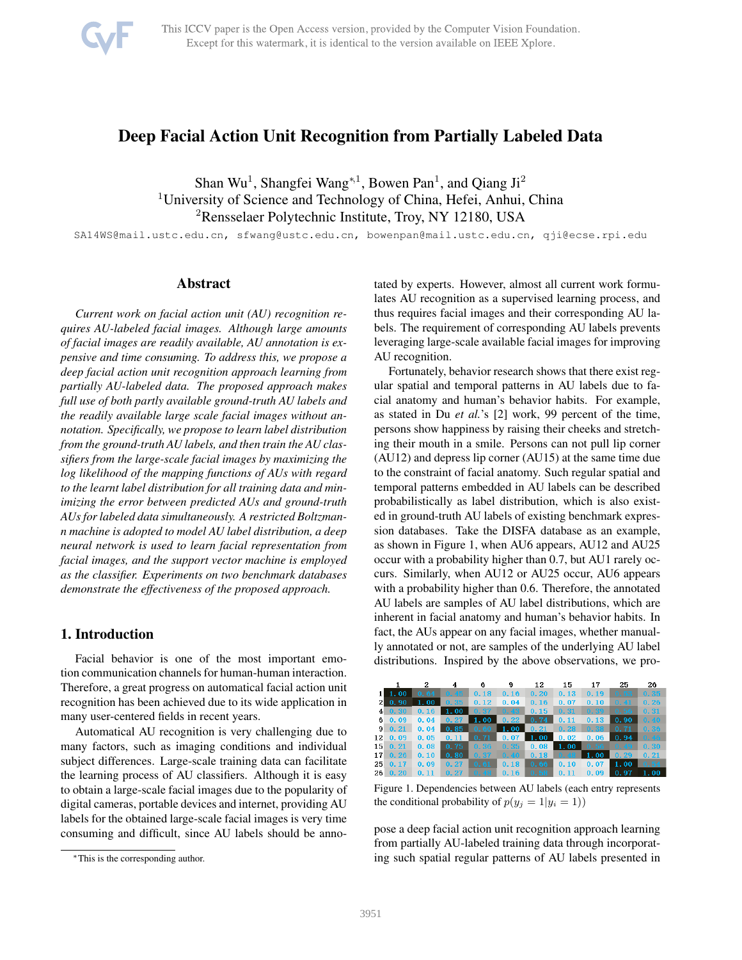

# Deep Facial Action Unit Recognition from Partially Labeled Data

Shan Wu<sup>1</sup>, Shangfei Wang<sup>\*,1</sup>, Bowen Pan<sup>1</sup>, and Qiang Ji<sup>2</sup> <sup>1</sup>University of Science and Technology of China, Hefei, Anhui, China <sup>2</sup>Rensselaer Polytechnic Institute, Troy, NY 12180, USA

SA14WS@mail.ustc.edu.cn, sfwang@ustc.edu.cn, bowenpan@mail.ustc.edu.cn, qji@ecse.rpi.edu

# Abstract

*Current work on facial action unit (AU) recognition requires AU-labeled facial images. Although large amounts of facial images are readily available, AU annotation is expensive and time consuming. To address this, we propose a deep facial action unit recognition approach learning from partially AU-labeled data. The proposed approach makes full use of both partly available ground-truth AU labels and the readily available large scale facial images without annotation. Specifically, we propose to learn label distribution from the ground-truth AU labels, and then train the AU classifiers from the large-scale facial images by maximizing the log likelihood of the mapping functions of AUs with regard to the learnt label distribution for all training data and minimizing the error between predicted AUs and ground-truth AUs for labeled data simultaneously. A restricted Boltzmann machine is adopted to model AU label distribution, a deep neural network is used to learn facial representation from facial images, and the support vector machine is employed as the classifier. Experiments on two benchmark databases demonstrate the effectiveness of the proposed approach.*

# 1. Introduction

Facial behavior is one of the most important emotion communication channels for human-human interaction. Therefore, a great progress on automatical facial action unit recognition has been achieved due to its wide application in many user-centered fields in recent years.

Automatical AU recognition is very challenging due to many factors, such as imaging conditions and individual subject differences. Large-scale training data can facilitate the learning process of AU classifiers. Although it is easy to obtain a large-scale facial images due to the popularity of digital cameras, portable devices and internet, providing AU labels for the obtained large-scale facial images is very time consuming and difficult, since AU labels should be annotated by experts. However, almost all current work formulates AU recognition as a supervised learning process, and thus requires facial images and their corresponding AU labels. The requirement of corresponding AU labels prevents leveraging large-scale available facial images for improving AU recognition.

Fortunately, behavior research shows that there exist regular spatial and temporal patterns in AU labels due to facial anatomy and human's behavior habits. For example, as stated in Du *et al.*'s [2] work, 99 percent of the time, persons show happiness by raising their cheeks and stretching their mouth in a smile. Persons can not pull lip corner (AU12) and depress lip corner (AU15) at the same time due to the constraint of facial anatomy. Such regular spatial and temporal patterns embedded in AU labels can be described probabilistically as label distribution, which is also existed in ground-truth AU labels of existing benchmark expression databases. Take the DISFA database as an example, as shown in Figure 1, when AU6 appears, AU12 and AU25 occur with a probability higher than 0.7, but AU1 rarely occurs. Similarly, when AU12 or AU25 occur, AU6 appears with a probability higher than 0.6. Therefore, the annotated AU labels are samples of AU label distributions, which are inherent in facial anatomy and human's behavior habits. In fact, the AUs appear on any facial images, whether manually annotated or not, are samples of the underlying AU label distributions. Inspired by the above observations, we pro-



Figure 1. Dependencies between AU labels (each entry represents the conditional probability of  $p(y_i = 1|y_i = 1)$ )

pose a deep facial action unit recognition approach learning from partially AU-labeled training data through incorporating such spatial regular patterns of AU labels presented in

<sup>∗</sup>This is the corresponding author.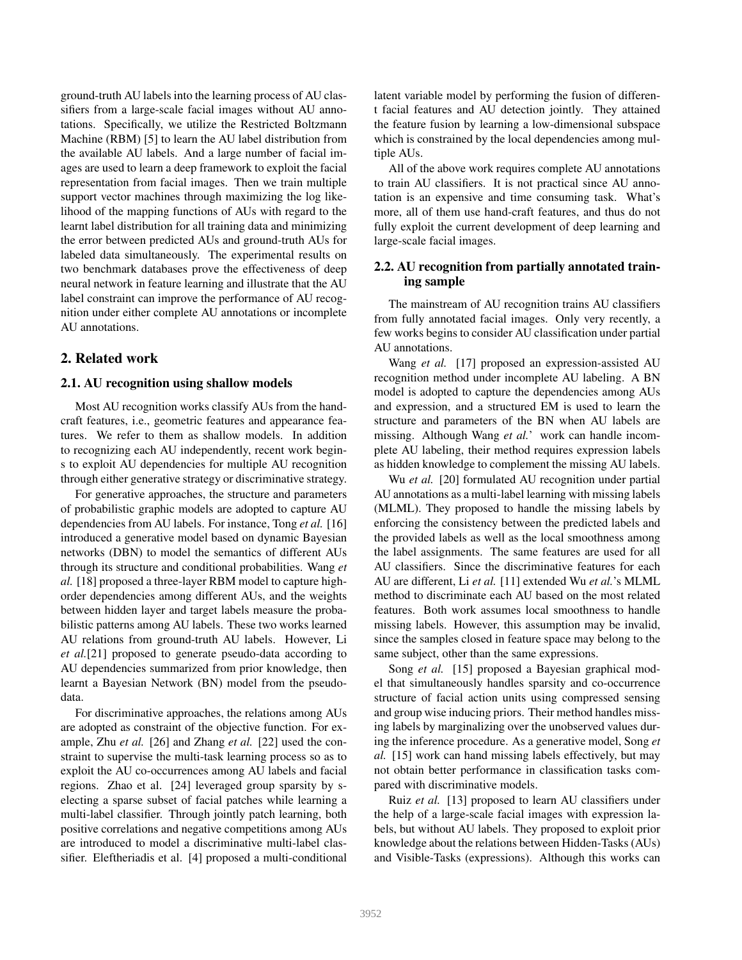ground-truth AU labels into the learning process of AU classifiers from a large-scale facial images without AU annotations. Specifically, we utilize the Restricted Boltzmann Machine (RBM) [5] to learn the AU label distribution from the available AU labels. And a large number of facial images are used to learn a deep framework to exploit the facial representation from facial images. Then we train multiple support vector machines through maximizing the log likelihood of the mapping functions of AUs with regard to the learnt label distribution for all training data and minimizing the error between predicted AUs and ground-truth AUs for labeled data simultaneously. The experimental results on two benchmark databases prove the effectiveness of deep neural network in feature learning and illustrate that the AU label constraint can improve the performance of AU recognition under either complete AU annotations or incomplete AU annotations.

# 2. Related work

### 2.1. AU recognition using shallow models

Most AU recognition works classify AUs from the handcraft features, i.e., geometric features and appearance features. We refer to them as shallow models. In addition to recognizing each AU independently, recent work begins to exploit AU dependencies for multiple AU recognition through either generative strategy or discriminative strategy.

For generative approaches, the structure and parameters of probabilistic graphic models are adopted to capture AU dependencies from AU labels. For instance, Tong *et al.* [16] introduced a generative model based on dynamic Bayesian networks (DBN) to model the semantics of different AUs through its structure and conditional probabilities. Wang *et al.* [18] proposed a three-layer RBM model to capture highorder dependencies among different AUs, and the weights between hidden layer and target labels measure the probabilistic patterns among AU labels. These two works learned AU relations from ground-truth AU labels. However, Li *et al.*[21] proposed to generate pseudo-data according to AU dependencies summarized from prior knowledge, then learnt a Bayesian Network (BN) model from the pseudodata.

For discriminative approaches, the relations among AUs are adopted as constraint of the objective function. For example, Zhu *et al.* [26] and Zhang *et al.* [22] used the constraint to supervise the multi-task learning process so as to exploit the AU co-occurrences among AU labels and facial regions. Zhao et al. [24] leveraged group sparsity by selecting a sparse subset of facial patches while learning a multi-label classifier. Through jointly patch learning, both positive correlations and negative competitions among AUs are introduced to model a discriminative multi-label classifier. Eleftheriadis et al. [4] proposed a multi-conditional latent variable model by performing the fusion of different facial features and AU detection jointly. They attained the feature fusion by learning a low-dimensional subspace which is constrained by the local dependencies among multiple AUs.

All of the above work requires complete AU annotations to train AU classifiers. It is not practical since AU annotation is an expensive and time consuming task. What's more, all of them use hand-craft features, and thus do not fully exploit the current development of deep learning and large-scale facial images.

# 2.2. AU recognition from partially annotated training sample

The mainstream of AU recognition trains AU classifiers from fully annotated facial images. Only very recently, a few works begins to consider AU classification under partial AU annotations.

Wang *et al.* [17] proposed an expression-assisted AU recognition method under incomplete AU labeling. A BN model is adopted to capture the dependencies among AUs and expression, and a structured EM is used to learn the structure and parameters of the BN when AU labels are missing. Although Wang *et al.*' work can handle incomplete AU labeling, their method requires expression labels as hidden knowledge to complement the missing AU labels.

Wu *et al.* [20] formulated AU recognition under partial AU annotations as a multi-label learning with missing labels (MLML). They proposed to handle the missing labels by enforcing the consistency between the predicted labels and the provided labels as well as the local smoothness among the label assignments. The same features are used for all AU classifiers. Since the discriminative features for each AU are different, Li *et al.* [11] extended Wu *et al.*'s MLML method to discriminate each AU based on the most related features. Both work assumes local smoothness to handle missing labels. However, this assumption may be invalid, since the samples closed in feature space may belong to the same subject, other than the same expressions.

Song *et al.* [15] proposed a Bayesian graphical model that simultaneously handles sparsity and co-occurrence structure of facial action units using compressed sensing and group wise inducing priors. Their method handles missing labels by marginalizing over the unobserved values during the inference procedure. As a generative model, Song *et al.* [15] work can hand missing labels effectively, but may not obtain better performance in classification tasks compared with discriminative models.

Ruiz *et al.* [13] proposed to learn AU classifiers under the help of a large-scale facial images with expression labels, but without AU labels. They proposed to exploit prior knowledge about the relations between Hidden-Tasks (AUs) and Visible-Tasks (expressions). Although this works can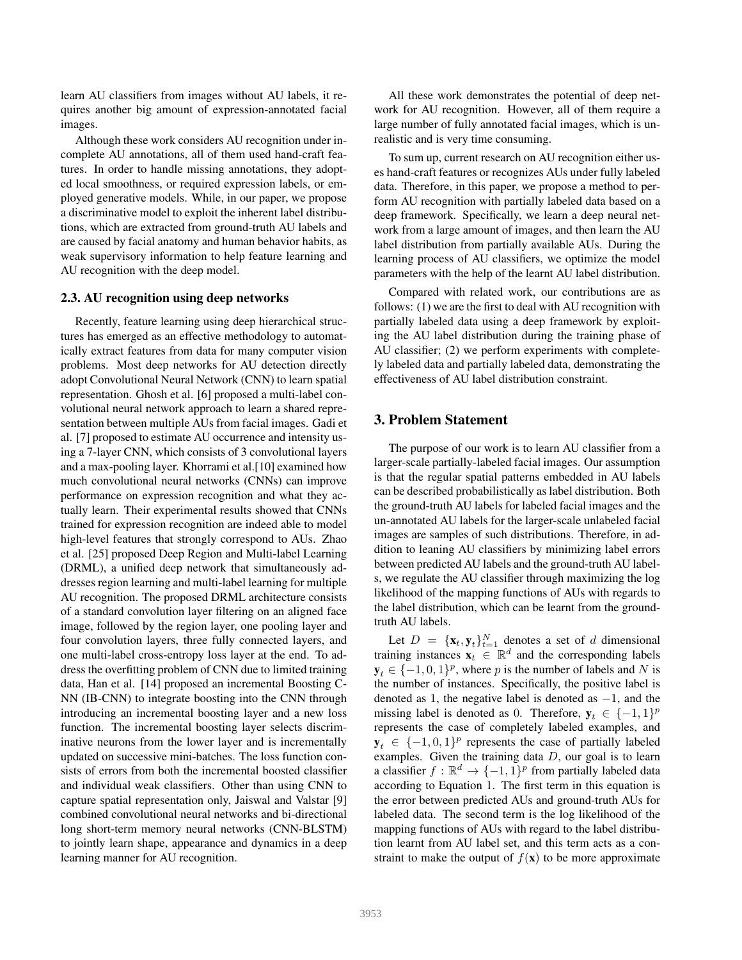learn AU classifiers from images without AU labels, it requires another big amount of expression-annotated facial images.

Although these work considers AU recognition under incomplete AU annotations, all of them used hand-craft features. In order to handle missing annotations, they adopted local smoothness, or required expression labels, or employed generative models. While, in our paper, we propose a discriminative model to exploit the inherent label distributions, which are extracted from ground-truth AU labels and are caused by facial anatomy and human behavior habits, as weak supervisory information to help feature learning and AU recognition with the deep model.

# 2.3. AU recognition using deep networks

Recently, feature learning using deep hierarchical structures has emerged as an effective methodology to automatically extract features from data for many computer vision problems. Most deep networks for AU detection directly adopt Convolutional Neural Network (CNN) to learn spatial representation. Ghosh et al. [6] proposed a multi-label convolutional neural network approach to learn a shared representation between multiple AUs from facial images. Gadi et al. [7] proposed to estimate AU occurrence and intensity using a 7-layer CNN, which consists of 3 convolutional layers and a max-pooling layer. Khorrami et al.[10] examined how much convolutional neural networks (CNNs) can improve performance on expression recognition and what they actually learn. Their experimental results showed that CNNs trained for expression recognition are indeed able to model high-level features that strongly correspond to AUs. Zhao et al. [25] proposed Deep Region and Multi-label Learning (DRML), a unified deep network that simultaneously addresses region learning and multi-label learning for multiple AU recognition. The proposed DRML architecture consists of a standard convolution layer filtering on an aligned face image, followed by the region layer, one pooling layer and four convolution layers, three fully connected layers, and one multi-label cross-entropy loss layer at the end. To address the overfitting problem of CNN due to limited training data, Han et al. [14] proposed an incremental Boosting C-NN (IB-CNN) to integrate boosting into the CNN through introducing an incremental boosting layer and a new loss function. The incremental boosting layer selects discriminative neurons from the lower layer and is incrementally updated on successive mini-batches. The loss function consists of errors from both the incremental boosted classifier and individual weak classifiers. Other than using CNN to capture spatial representation only, Jaiswal and Valstar [9] combined convolutional neural networks and bi-directional long short-term memory neural networks (CNN-BLSTM) to jointly learn shape, appearance and dynamics in a deep learning manner for AU recognition.

All these work demonstrates the potential of deep network for AU recognition. However, all of them require a large number of fully annotated facial images, which is unrealistic and is very time consuming.

To sum up, current research on AU recognition either uses hand-craft features or recognizes AUs under fully labeled data. Therefore, in this paper, we propose a method to perform AU recognition with partially labeled data based on a deep framework. Specifically, we learn a deep neural network from a large amount of images, and then learn the AU label distribution from partially available AUs. During the learning process of AU classifiers, we optimize the model parameters with the help of the learnt AU label distribution.

Compared with related work, our contributions are as follows: (1) we are the first to deal with AU recognition with partially labeled data using a deep framework by exploiting the AU label distribution during the training phase of AU classifier; (2) we perform experiments with completely labeled data and partially labeled data, demonstrating the effectiveness of AU label distribution constraint.

# 3. Problem Statement

The purpose of our work is to learn AU classifier from a larger-scale partially-labeled facial images. Our assumption is that the regular spatial patterns embedded in AU labels can be described probabilistically as label distribution. Both the ground-truth AU labels for labeled facial images and the un-annotated AU labels for the larger-scale unlabeled facial images are samples of such distributions. Therefore, in addition to leaning AU classifiers by minimizing label errors between predicted AU labels and the ground-truth AU labels, we regulate the AU classifier through maximizing the log likelihood of the mapping functions of AUs with regards to the label distribution, which can be learnt from the groundtruth AU labels.

Let  $D = {\mathbf{x}_t, \mathbf{y}_t}_{t=1}^N$  denotes a set of d dimensional training instances  $\mathbf{x}_t \in \mathbb{R}^d$  and the corresponding labels  $y_t \in \{-1, 0, 1\}^p$ , where p is the number of labels and N is the number of instances. Specifically, the positive label is denoted as 1, the negative label is denoted as  $-1$ , and the missing label is denoted as 0. Therefore,  $y_t \in \{-1, 1\}^p$ represents the case of completely labeled examples, and  $y_t \in \{-1, 0, 1\}^p$  represents the case of partially labeled examples. Given the training data  $D$ , our goal is to learn a classifier  $f : \mathbb{R}^d \to \{-1, 1\}^p$  from partially labeled data according to Equation 1. The first term in this equation is the error between predicted AUs and ground-truth AUs for labeled data. The second term is the log likelihood of the mapping functions of AUs with regard to the label distribution learnt from AU label set, and this term acts as a constraint to make the output of  $f(\mathbf{x})$  to be more approximate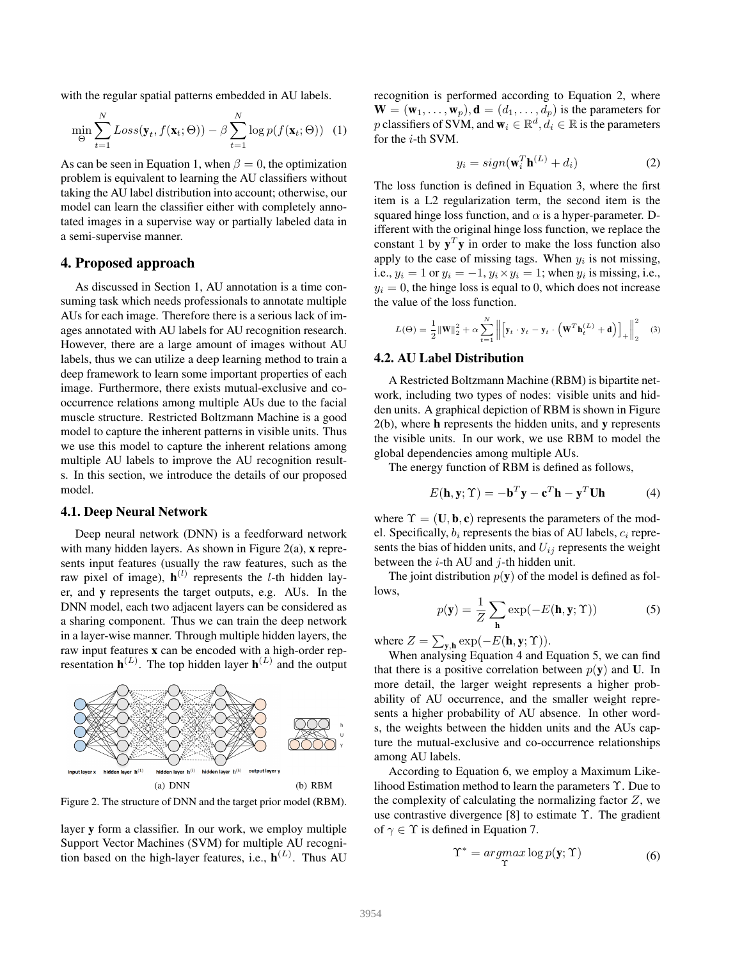with the regular spatial patterns embedded in AU labels.

$$
\min_{\Theta} \sum_{t=1}^{N} Loss(\mathbf{y}_t, f(\mathbf{x}_t; \Theta)) - \beta \sum_{t=1}^{N} \log p(f(\mathbf{x}_t; \Theta)) \quad (1)
$$

As can be seen in Equation 1, when  $\beta = 0$ , the optimization problem is equivalent to learning the AU classifiers without taking the AU label distribution into account; otherwise, our model can learn the classifier either with completely annotated images in a supervise way or partially labeled data in a semi-supervise manner.

# 4. Proposed approach

As discussed in Section 1, AU annotation is a time consuming task which needs professionals to annotate multiple AUs for each image. Therefore there is a serious lack of images annotated with AU labels for AU recognition research. However, there are a large amount of images without AU labels, thus we can utilize a deep learning method to train a deep framework to learn some important properties of each image. Furthermore, there exists mutual-exclusive and cooccurrence relations among multiple AUs due to the facial muscle structure. Restricted Boltzmann Machine is a good model to capture the inherent patterns in visible units. Thus we use this model to capture the inherent relations among multiple AU labels to improve the AU recognition results. In this section, we introduce the details of our proposed model.

#### 4.1. Deep Neural Network

Deep neural network (DNN) is a feedforward network with many hidden layers. As shown in Figure 2(a),  $x$  represents input features (usually the raw features, such as the raw pixel of image),  $h^{(l)}$  represents the *l*-th hidden layer, and y represents the target outputs, e.g. AUs. In the DNN model, each two adjacent layers can be considered as a sharing component. Thus we can train the deep network in a layer-wise manner. Through multiple hidden layers, the raw input features x can be encoded with a high-order representation  $\mathbf{h}^{(L)}$ . The top hidden layer  $\mathbf{h}^{(L)}$  and the output



Figure 2. The structure of DNN and the target prior model (RBM).

layer y form a classifier. In our work, we employ multiple Support Vector Machines (SVM) for multiple AU recognition based on the high-layer features, i.e.,  $\mathbf{h}^{(L)}$ . Thus AU

recognition is performed according to Equation 2, where  $\mathbf{W} = (\mathbf{w}_1, \dots, \mathbf{w}_p), \mathbf{d} = (d_1, \dots, d_p)$  is the parameters for p classifiers of SVM, and  $\mathbf{w}_i \in \mathbb{R}^d, \dot{d}_i \in \mathbb{R}$  is the parameters for the i-th SVM.

$$
y_i = sign(\mathbf{w}_i^T \mathbf{h}^{(L)} + d_i)
$$
 (2)

The loss function is defined in Equation 3, where the first item is a L2 regularization term, the second item is the squared hinge loss function, and  $\alpha$  is a hyper-parameter. Different with the original hinge loss function, we replace the constant 1 by  $y^T y$  in order to make the loss function also apply to the case of missing tags. When  $y_i$  is not missing, i.e.,  $y_i = 1$  or  $y_i = -1$ ,  $y_i \times y_i = 1$ ; when  $y_i$  is missing, i.e.,  $y_i = 0$ , the hinge loss is equal to 0, which does not increase the value of the loss function.

$$
L(\Theta) = \frac{1}{2} ||\mathbf{W}||_2^2 + \alpha \sum_{t=1}^N \left\| \left[ \mathbf{y}_t \cdot \mathbf{y}_t - \mathbf{y}_t \cdot \left( \mathbf{W}^T \mathbf{h}_t^{(L)} + \mathbf{d} \right) \right]_+ \right\|_2^2 \quad (3)
$$

# 4.2. AU Label Distribution

A Restricted Boltzmann Machine (RBM) is bipartite network, including two types of nodes: visible units and hidden units. A graphical depiction of RBM is shown in Figure 2(b), where h represents the hidden units, and y represents the visible units. In our work, we use RBM to model the global dependencies among multiple AUs.

The energy function of RBM is defined as follows,

$$
E(\mathbf{h}, \mathbf{y}; \Upsilon) = -\mathbf{b}^T \mathbf{y} - \mathbf{c}^T \mathbf{h} - \mathbf{y}^T \mathbf{U} \mathbf{h}
$$
 (4)

where  $\Upsilon = (\mathbf{U}, \mathbf{b}, \mathbf{c})$  represents the parameters of the model. Specifically,  $b_i$  represents the bias of AU labels,  $c_i$  represents the bias of hidden units, and  $U_{ij}$  represents the weight between the  $i$ -th AU and  $j$ -th hidden unit.

The joint distribution  $p(\mathbf{v})$  of the model is defined as follows,

$$
p(\mathbf{y}) = \frac{1}{Z} \sum_{\mathbf{h}} \exp(-E(\mathbf{h}, \mathbf{y}; \Upsilon))
$$
 (5)

where  $Z = \sum_{\mathbf{y},\mathbf{h}} \exp(-E(\mathbf{h}, \mathbf{y}; \Upsilon)).$ 

When analysing Equation 4 and Equation 5, we can find that there is a positive correlation between  $p(y)$  and U. In more detail, the larger weight represents a higher probability of AU occurrence, and the smaller weight represents a higher probability of AU absence. In other words, the weights between the hidden units and the AUs capture the mutual-exclusive and co-occurrence relationships among AU labels.

According to Equation 6, we employ a Maximum Likelihood Estimation method to learn the parameters Υ. Due to the complexity of calculating the normalizing factor  $Z$ , we use contrastive divergence [8] to estimate  $\Upsilon$ . The gradient of  $\gamma \in \Upsilon$  is defined in Equation 7.

$$
\Upsilon^* = \underset{\Upsilon}{\operatorname{argmax}} \log p(\mathbf{y}; \Upsilon) \tag{6}
$$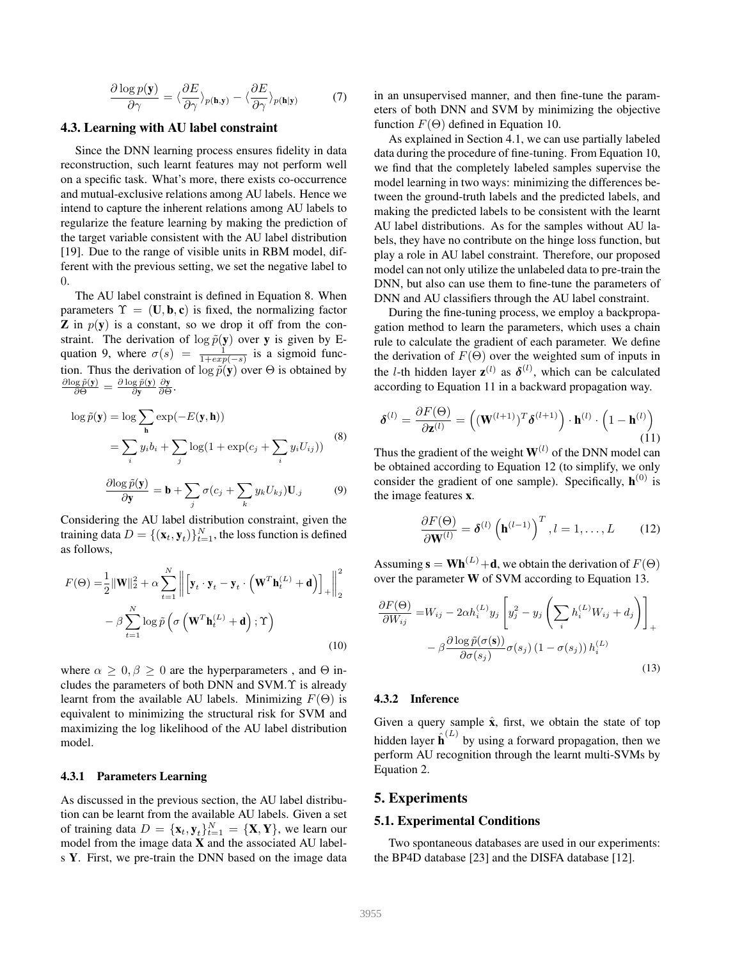$$
\frac{\partial \log p(\mathbf{y})}{\partial \gamma} = \langle \frac{\partial E}{\partial \gamma} \rangle_{p(\mathbf{h}, \mathbf{y})} - \langle \frac{\partial E}{\partial \gamma} \rangle_{p(\mathbf{h}|\mathbf{y})}
$$
(7)

#### 4.3. Learning with AU label constraint

Since the DNN learning process ensures fidelity in data reconstruction, such learnt features may not perform well on a specific task. What's more, there exists co-occurrence and mutual-exclusive relations among AU labels. Hence we intend to capture the inherent relations among AU labels to regularize the feature learning by making the prediction of the target variable consistent with the AU label distribution [19]. Due to the range of visible units in RBM model, different with the previous setting, we set the negative label to 0.

The AU label constraint is defined in Equation 8. When parameters  $\Upsilon = (\mathbf{U}, \mathbf{b}, \mathbf{c})$  is fixed, the normalizing factor **Z** in  $p(y)$  is a constant, so we drop it off from the constraint. The derivation of  $\log \tilde{p}(\mathbf{y})$  over y is given by Equation 9, where  $\sigma(s) = \frac{1}{1+exp(-s)}$  is a sigmoid function. Thus the derivation of  $\log \tilde{p}(\mathbf{y})$  over  $\Theta$  is obtained by  $\frac{\partial \log \tilde{p}(\mathbf{y})}{\partial \Theta} = \frac{\partial \log \tilde{p}(\mathbf{y})}{\partial \mathbf{y}} \frac{\partial \mathbf{y}}{\partial \Theta}$ .  $\frac{\partial g \tilde{p}(\mathbf{y})}{\partial \mathbf{y}} \frac{\partial \mathbf{y}}{\partial \Theta}$ .

$$
\log \tilde{p}(\mathbf{y}) = \log \sum_{\mathbf{h}} \exp(-E(\mathbf{y}, \mathbf{h}))
$$
  
=  $\sum_{i} y_i b_i + \sum_{j} \log(1 + \exp(c_j + \sum_{i} y_i U_{ij}))$  (8)

$$
\frac{\partial \log \tilde{p}(\mathbf{y})}{\partial \mathbf{y}} = \mathbf{b} + \sum_{j} \sigma(c_j + \sum_{k} y_k U_{kj}) \mathbf{U}_{.j} \tag{9}
$$

Considering the AU label distribution constraint, given the training data  $D = \{(\mathbf{x}_t, \mathbf{y}_t)\}_{t=1}^N$ , the loss function is defined as follows,

$$
F(\Theta) = \frac{1}{2} ||\mathbf{W}||_2^2 + \alpha \sum_{t=1}^N \left\| \left[ \mathbf{y}_t \cdot \mathbf{y}_t - \mathbf{y}_t \cdot \left( \mathbf{W}^T \mathbf{h}_t^{(L)} + \mathbf{d} \right) \right]_+ \right\|_2^2
$$

$$
- \beta \sum_{t=1}^N \log \tilde{p} \left( \sigma \left( \mathbf{W}^T \mathbf{h}_t^{(L)} + \mathbf{d} \right); \Upsilon \right)
$$
(10)

where  $\alpha \geq 0, \beta \geq 0$  are the hyperparameters, and  $\Theta$  includes the parameters of both DNN and SVM.Υ is already learnt from the available AU labels. Minimizing  $F(\Theta)$  is equivalent to minimizing the structural risk for SVM and maximizing the log likelihood of the AU label distribution model.

#### 4.3.1 Parameters Learning

As discussed in the previous section, the AU label distribution can be learnt from the available AU labels. Given a set of training data  $D = {\mathbf{x}_t, \mathbf{y}_t}_{t=1}^N = {\mathbf{X}, \mathbf{Y}}$ , we learn our model from the image data  $X$  and the associated AU labels Y. First, we pre-train the DNN based on the image data in an unsupervised manner, and then fine-tune the parameters of both DNN and SVM by minimizing the objective function  $F(\Theta)$  defined in Equation 10.

As explained in Section 4.1, we can use partially labeled data during the procedure of fine-tuning. From Equation 10, we find that the completely labeled samples supervise the model learning in two ways: minimizing the differences between the ground-truth labels and the predicted labels, and making the predicted labels to be consistent with the learnt AU label distributions. As for the samples without AU labels, they have no contribute on the hinge loss function, but play a role in AU label constraint. Therefore, our proposed model can not only utilize the unlabeled data to pre-train the DNN, but also can use them to fine-tune the parameters of DNN and AU classifiers through the AU label constraint.

During the fine-tuning process, we employ a backpropagation method to learn the parameters, which uses a chain rule to calculate the gradient of each parameter. We define the derivation of  $F(\Theta)$  over the weighted sum of inputs in the *l*-th hidden layer  $z^{(l)}$  as  $\delta^{(l)}$ , which can be calculated according to Equation 11 in a backward propagation way.

$$
\boldsymbol{\delta}^{(l)} = \frac{\partial F(\Theta)}{\partial \mathbf{z}^{(l)}} = \left( (\mathbf{W}^{(l+1)})^T \boldsymbol{\delta}^{(l+1)} \right) \cdot \mathbf{h}^{(l)} \cdot \left( 1 - \mathbf{h}^{(l)} \right)
$$
(11)

Thus the gradient of the weight  $W^{(l)}$  of the DNN model can be obtained according to Equation 12 (to simplify, we only consider the gradient of one sample). Specifically,  $h^{(0)}$  is the image features x.

$$
\frac{\partial F(\Theta)}{\partial \mathbf{W}^{(l)}} = \boldsymbol{\delta}^{(l)} \left(\mathbf{h}^{(l-1)}\right)^T, l = 1, \dots, L \tag{12}
$$

Assuming  $\mathbf{s} = \mathbf{Wh}^{(L)} + \mathbf{d}$ , we obtain the derivation of  $F(\Theta)$ over the parameter W of SVM according to Equation 13.

$$
\frac{\partial F(\Theta)}{\partial W_{ij}} = W_{ij} - 2\alpha h_i^{(L)} y_j \left[ y_j^2 - y_j \left( \sum_i h_i^{(L)} W_{ij} + d_j \right) \right]_+ - \beta \frac{\partial \log \tilde{p}(\sigma(\mathbf{s}))}{\partial \sigma(s_j)} \sigma(s_j) (1 - \sigma(s_j)) h_i^{(L)}
$$
\n(13)

### 4.3.2 Inference

Given a query sample  $\hat{\mathbf{x}}$ , first, we obtain the state of top hidden layer  $\hat{\mathbf{h}}^{(L)}$  by using a forward propagation, then we perform AU recognition through the learnt multi-SVMs by Equation 2.

### 5. Experiments

#### 5.1. Experimental Conditions

Two spontaneous databases are used in our experiments: the BP4D database [23] and the DISFA database [12].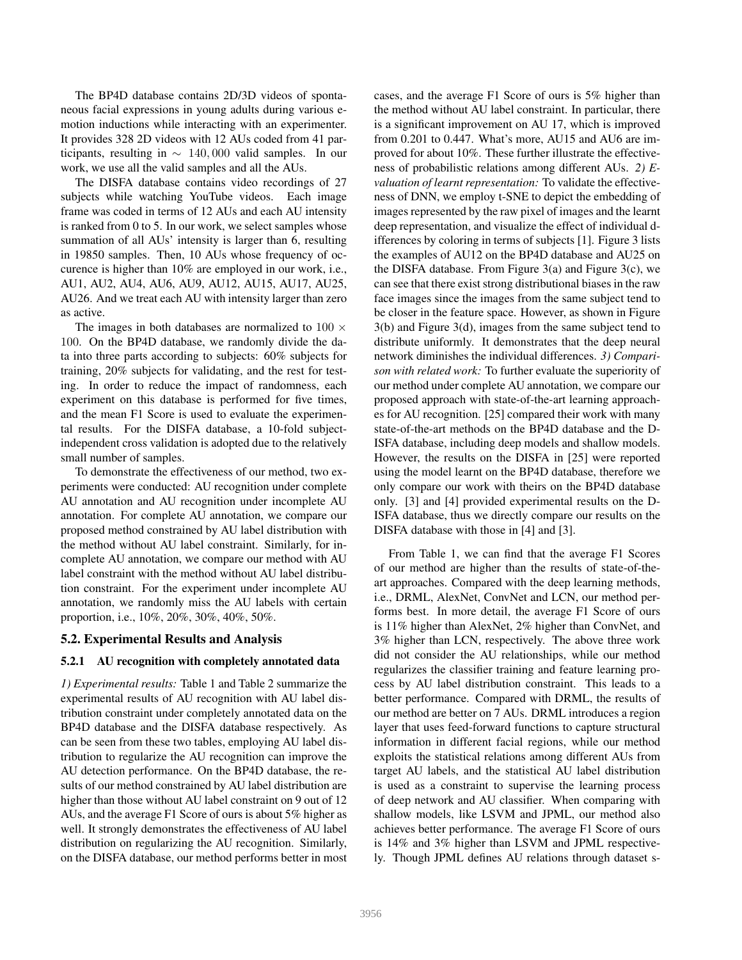The BP4D database contains 2D/3D videos of spontaneous facial expressions in young adults during various emotion inductions while interacting with an experimenter. It provides 328 2D videos with 12 AUs coded from 41 participants, resulting in  $\sim 140,000$  valid samples. In our work, we use all the valid samples and all the AUs.

The DISFA database contains video recordings of 27 subjects while watching YouTube videos. Each image frame was coded in terms of 12 AUs and each AU intensity is ranked from 0 to 5. In our work, we select samples whose summation of all AUs' intensity is larger than 6, resulting in 19850 samples. Then, 10 AUs whose frequency of occurence is higher than 10% are employed in our work, i.e., AU1, AU2, AU4, AU6, AU9, AU12, AU15, AU17, AU25, AU26. And we treat each AU with intensity larger than zero as active.

The images in both databases are normalized to  $100 \times$ 100. On the BP4D database, we randomly divide the data into three parts according to subjects: 60% subjects for training, 20% subjects for validating, and the rest for testing. In order to reduce the impact of randomness, each experiment on this database is performed for five times, and the mean F1 Score is used to evaluate the experimental results. For the DISFA database, a 10-fold subjectindependent cross validation is adopted due to the relatively small number of samples.

To demonstrate the effectiveness of our method, two experiments were conducted: AU recognition under complete AU annotation and AU recognition under incomplete AU annotation. For complete AU annotation, we compare our proposed method constrained by AU label distribution with the method without AU label constraint. Similarly, for incomplete AU annotation, we compare our method with AU label constraint with the method without AU label distribution constraint. For the experiment under incomplete AU annotation, we randomly miss the AU labels with certain proportion, i.e., 10%, 20%, 30%, 40%, 50%.

#### 5.2. Experimental Results and Analysis

#### 5.2.1 AU recognition with completely annotated data

*1) Experimental results:* Table 1 and Table 2 summarize the experimental results of AU recognition with AU label distribution constraint under completely annotated data on the BP4D database and the DISFA database respectively. As can be seen from these two tables, employing AU label distribution to regularize the AU recognition can improve the AU detection performance. On the BP4D database, the results of our method constrained by AU label distribution are higher than those without AU label constraint on 9 out of 12 AUs, and the average F1 Score of ours is about 5% higher as well. It strongly demonstrates the effectiveness of AU label distribution on regularizing the AU recognition. Similarly, on the DISFA database, our method performs better in most cases, and the average F1 Score of ours is 5% higher than the method without AU label constraint. In particular, there is a significant improvement on AU 17, which is improved from 0.201 to 0.447. What's more, AU15 and AU6 are improved for about 10%. These further illustrate the effectiveness of probabilistic relations among different AUs. *2) Evaluation of learnt representation:* To validate the effectiveness of DNN, we employ t-SNE to depict the embedding of images represented by the raw pixel of images and the learnt deep representation, and visualize the effect of individual differences by coloring in terms of subjects [1]. Figure 3 lists the examples of AU12 on the BP4D database and AU25 on the DISFA database. From Figure 3(a) and Figure 3(c), we can see that there exist strong distributional biases in the raw face images since the images from the same subject tend to be closer in the feature space. However, as shown in Figure 3(b) and Figure 3(d), images from the same subject tend to distribute uniformly. It demonstrates that the deep neural network diminishes the individual differences. *3) Comparison with related work:* To further evaluate the superiority of our method under complete AU annotation, we compare our proposed approach with state-of-the-art learning approaches for AU recognition. [25] compared their work with many state-of-the-art methods on the BP4D database and the D-ISFA database, including deep models and shallow models. However, the results on the DISFA in [25] were reported using the model learnt on the BP4D database, therefore we only compare our work with theirs on the BP4D database only. [3] and [4] provided experimental results on the D-ISFA database, thus we directly compare our results on the DISFA database with those in [4] and [3].

From Table 1, we can find that the average F1 Scores of our method are higher than the results of state-of-theart approaches. Compared with the deep learning methods, i.e., DRML, AlexNet, ConvNet and LCN, our method performs best. In more detail, the average F1 Score of ours is 11% higher than AlexNet, 2% higher than ConvNet, and 3% higher than LCN, respectively. The above three work did not consider the AU relationships, while our method regularizes the classifier training and feature learning process by AU label distribution constraint. This leads to a better performance. Compared with DRML, the results of our method are better on 7 AUs. DRML introduces a region layer that uses feed-forward functions to capture structural information in different facial regions, while our method exploits the statistical relations among different AUs from target AU labels, and the statistical AU label distribution is used as a constraint to supervise the learning process of deep network and AU classifier. When comparing with shallow models, like LSVM and JPML, our method also achieves better performance. The average F1 Score of ours is 14% and 3% higher than LSVM and JPML respectively. Though JPML defines AU relations through dataset s-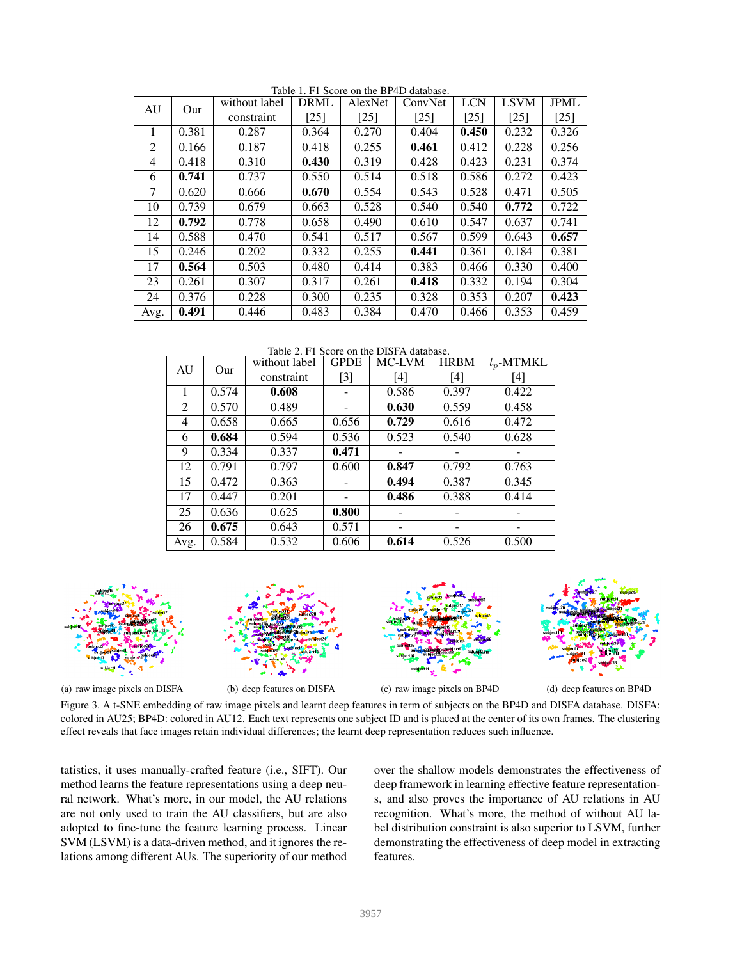| AU   | Our   | without label | <b>DRML</b> | AlexNet | ConvNet | <b>LCN</b> | <b>LSVM</b> | <b>JPML</b> |
|------|-------|---------------|-------------|---------|---------|------------|-------------|-------------|
|      |       | constraint    | [25]        | [25]    | [25]    | [25]       | [25]        | $[25]$      |
| 1    | 0.381 | 0.287         | 0.364       | 0.270   | 0.404   | 0.450      | 0.232       | 0.326       |
| 2    | 0.166 | 0.187         | 0.418       | 0.255   | 0.461   | 0.412      | 0.228       | 0.256       |
| 4    | 0.418 | 0.310         | 0.430       | 0.319   | 0.428   | 0.423      | 0.231       | 0.374       |
| 6    | 0.741 | 0.737         | 0.550       | 0.514   | 0.518   | 0.586      | 0.272       | 0.423       |
| 7    | 0.620 | 0.666         | 0.670       | 0.554   | 0.543   | 0.528      | 0.471       | 0.505       |
| 10   | 0.739 | 0.679         | 0.663       | 0.528   | 0.540   | 0.540      | 0.772       | 0.722       |
| 12   | 0.792 | 0.778         | 0.658       | 0.490   | 0.610   | 0.547      | 0.637       | 0.741       |
| 14   | 0.588 | 0.470         | 0.541       | 0.517   | 0.567   | 0.599      | 0.643       | 0.657       |
| 15   | 0.246 | 0.202         | 0.332       | 0.255   | 0.441   | 0.361      | 0.184       | 0.381       |
| 17   | 0.564 | 0.503         | 0.480       | 0.414   | 0.383   | 0.466      | 0.330       | 0.400       |
| 23   | 0.261 | 0.307         | 0.317       | 0.261   | 0.418   | 0.332      | 0.194       | 0.304       |
| 24   | 0.376 | 0.228         | 0.300       | 0.235   | 0.328   | 0.353      | 0.207       | 0.423       |
| Avg. | 0.491 | 0.446         | 0.483       | 0.384   | 0.470   | 0.466      | 0.353       | 0.459       |

Table 1. F1 Score on the BP4D database.

Table 2. F1 Score on the DISFA database.

| AU   | Our   | without label | <b>GPDE</b>    | MC-LVM | <b>HRBM</b> | $l_p$ -MTMKL |
|------|-------|---------------|----------------|--------|-------------|--------------|
|      |       | constraint    | $[3]$          | [4]    | $[4]$       | $[4]$        |
| 1    | 0.574 | 0.608         | $\overline{a}$ | 0.586  | 0.397       | 0.422        |
| 2    | 0.570 | 0.489         | -              | 0.630  | 0.559       | 0.458        |
| 4    | 0.658 | 0.665         | 0.656          | 0.729  | 0.616       | 0.472        |
| 6    | 0.684 | 0.594         | 0.536          | 0.523  | 0.540       | 0.628        |
| 9    | 0.334 | 0.337         | 0.471          |        |             |              |
| 12   | 0.791 | 0.797         | 0.600          | 0.847  | 0.792       | 0.763        |
| 15   | 0.472 | 0.363         |                | 0.494  | 0.387       | 0.345        |
| 17   | 0.447 | 0.201         |                | 0.486  | 0.388       | 0.414        |
| 25   | 0.636 | 0.625         | 0.800          |        |             |              |
| 26   | 0.675 | 0.643         | 0.571          |        |             |              |
| Avg. | 0.584 | 0.532         | 0.606          | 0.614  | 0.526       | 0.500        |



(a) raw image pixels on DISFA (b) deep features on DISFA (c) raw image pixels on BP4D (d) deep features on BP4D







Figure 3. A t-SNE embedding of raw image pixels and learnt deep features in term of subjects on the BP4D and DISFA database. DISFA: colored in AU25; BP4D: colored in AU12. Each text represents one subject ID and is placed at the center of its own frames. The clustering effect reveals that face images retain individual differences; the learnt deep representation reduces such influence.

tatistics, it uses manually-crafted feature (i.e., SIFT). Our method learns the feature representations using a deep neural network. What's more, in our model, the AU relations are not only used to train the AU classifiers, but are also adopted to fine-tune the feature learning process. Linear SVM (LSVM) is a data-driven method, and it ignores the relations among different AUs. The superiority of our method over the shallow models demonstrates the effectiveness of deep framework in learning effective feature representations, and also proves the importance of AU relations in AU recognition. What's more, the method of without AU label distribution constraint is also superior to LSVM, further demonstrating the effectiveness of deep model in extracting features.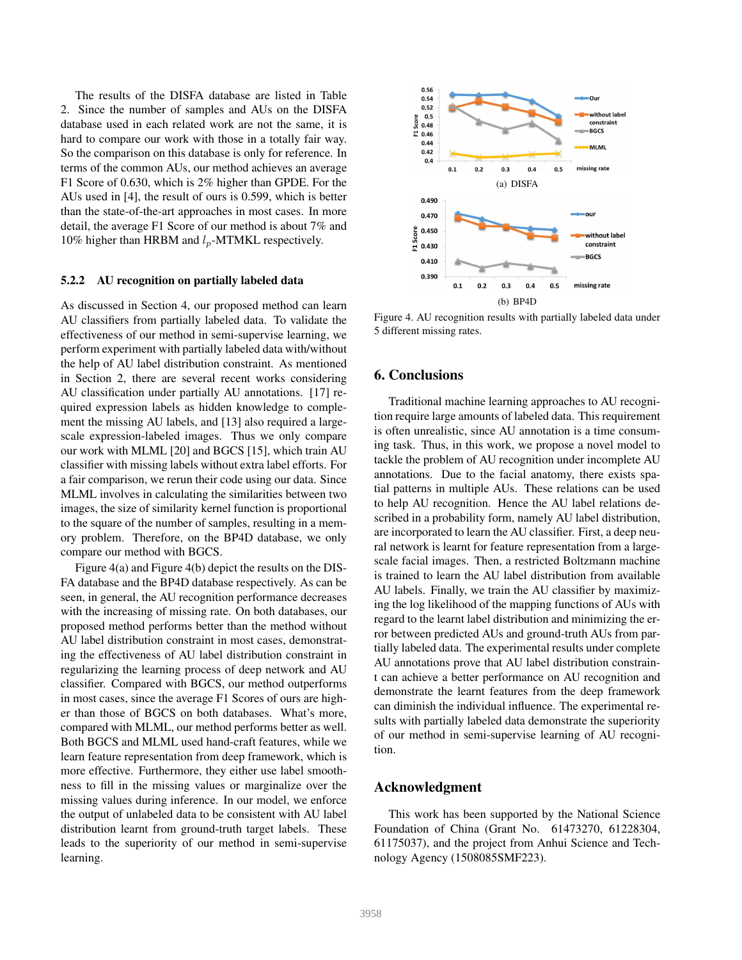The results of the DISFA database are listed in Table 2. Since the number of samples and AUs on the DISFA database used in each related work are not the same, it is hard to compare our work with those in a totally fair way. So the comparison on this database is only for reference. In terms of the common AUs, our method achieves an average F1 Score of 0.630, which is 2% higher than GPDE. For the AUs used in [4], the result of ours is 0.599, which is better than the state-of-the-art approaches in most cases. In more detail, the average F1 Score of our method is about 7% and 10% higher than HRBM and  $l_p$ -MTMKL respectively.

#### 5.2.2 AU recognition on partially labeled data

As discussed in Section 4, our proposed method can learn AU classifiers from partially labeled data. To validate the effectiveness of our method in semi-supervise learning, we perform experiment with partially labeled data with/without the help of AU label distribution constraint. As mentioned in Section 2, there are several recent works considering AU classification under partially AU annotations. [17] required expression labels as hidden knowledge to complement the missing AU labels, and [13] also required a largescale expression-labeled images. Thus we only compare our work with MLML [20] and BGCS [15], which train AU classifier with missing labels without extra label efforts. For a fair comparison, we rerun their code using our data. Since MLML involves in calculating the similarities between two images, the size of similarity kernel function is proportional to the square of the number of samples, resulting in a memory problem. Therefore, on the BP4D database, we only compare our method with BGCS.

Figure 4(a) and Figure 4(b) depict the results on the DIS-FA database and the BP4D database respectively. As can be seen, in general, the AU recognition performance decreases with the increasing of missing rate. On both databases, our proposed method performs better than the method without AU label distribution constraint in most cases, demonstrating the effectiveness of AU label distribution constraint in regularizing the learning process of deep network and AU classifier. Compared with BGCS, our method outperforms in most cases, since the average F1 Scores of ours are higher than those of BGCS on both databases. What's more, compared with MLML, our method performs better as well. Both BGCS and MLML used hand-craft features, while we learn feature representation from deep framework, which is more effective. Furthermore, they either use label smoothness to fill in the missing values or marginalize over the missing values during inference. In our model, we enforce the output of unlabeled data to be consistent with AU label distribution learnt from ground-truth target labels. These leads to the superiority of our method in semi-supervise learning.



Figure 4. AU recognition results with partially labeled data under 5 different missing rates.

## 6. Conclusions

Traditional machine learning approaches to AU recognition require large amounts of labeled data. This requirement is often unrealistic, since AU annotation is a time consuming task. Thus, in this work, we propose a novel model to tackle the problem of AU recognition under incomplete AU annotations. Due to the facial anatomy, there exists spatial patterns in multiple AUs. These relations can be used to help AU recognition. Hence the AU label relations described in a probability form, namely AU label distribution, are incorporated to learn the AU classifier. First, a deep neural network is learnt for feature representation from a largescale facial images. Then, a restricted Boltzmann machine is trained to learn the AU label distribution from available AU labels. Finally, we train the AU classifier by maximizing the log likelihood of the mapping functions of AUs with regard to the learnt label distribution and minimizing the error between predicted AUs and ground-truth AUs from partially labeled data. The experimental results under complete AU annotations prove that AU label distribution constraint can achieve a better performance on AU recognition and demonstrate the learnt features from the deep framework can diminish the individual influence. The experimental results with partially labeled data demonstrate the superiority of our method in semi-supervise learning of AU recognition.

# Acknowledgment

This work has been supported by the National Science Foundation of China (Grant No. 61473270, 61228304, 61175037), and the project from Anhui Science and Technology Agency (1508085SMF223).